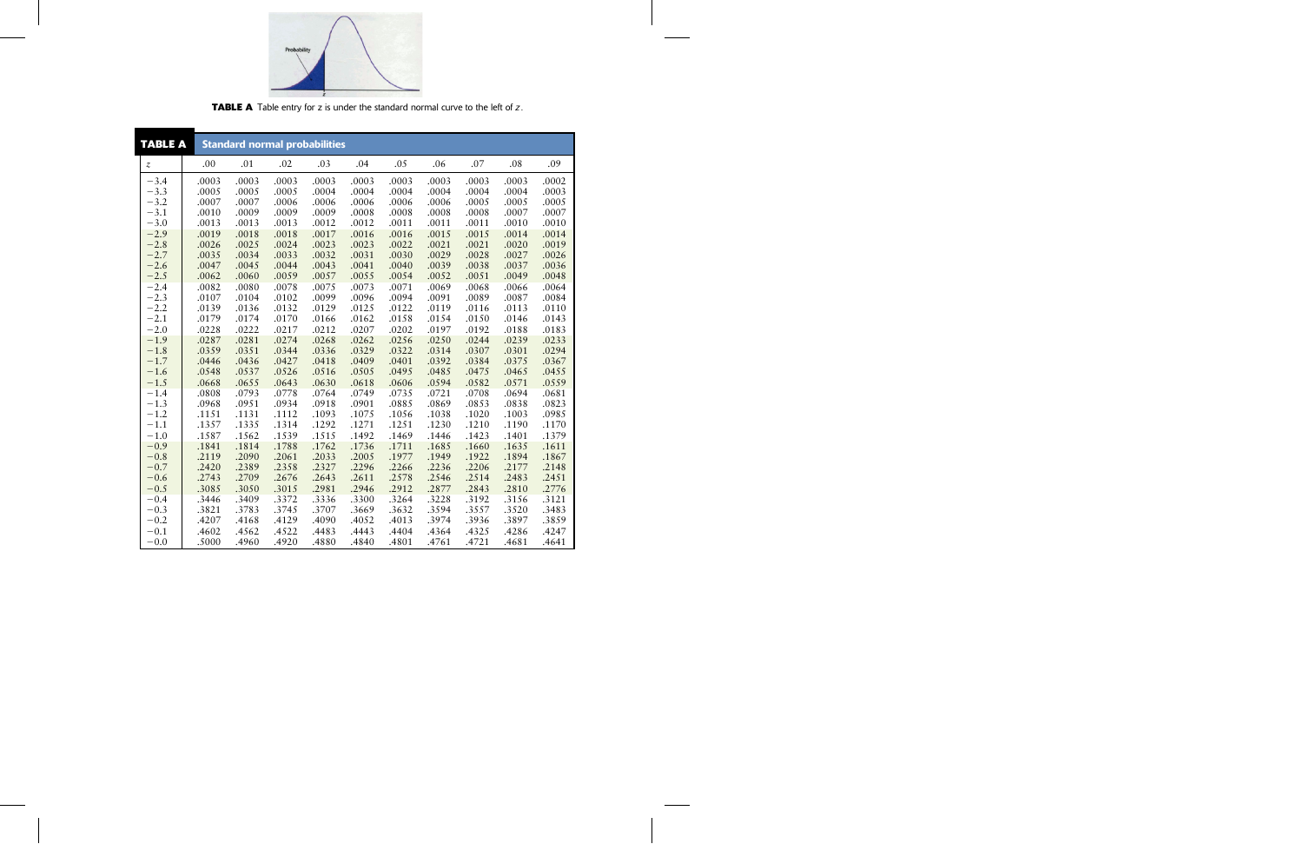

**TABLE A** Table entry for z is under the standard normal curve to the left of z.

| <b>TABLE A</b>   |                | <b>Standard normal probabilities</b> |                |                |                |                |                |                |                |                |  |
|------------------|----------------|--------------------------------------|----------------|----------------|----------------|----------------|----------------|----------------|----------------|----------------|--|
| $\boldsymbol{z}$ | .00            | .01                                  | .02            | .03            | .04            | .05            | .06            | .07            | .08            | .09            |  |
| $-3.4$           | .0003          | .0003                                | .0003          | .0003          | .0003          | .0003          | .0003          | .0003          | .0003          | .0002          |  |
| $-3.3$           | .0005          | .0005                                | .0005          | .0004          | .0004          | .0004          | .0004          | .0004          | .0004          | .0003          |  |
| $-3.2$           | .0007          | .0007                                | .0006          | .0006          | .0006          | .0006          | .0006          | .0005          | .0005          | .0005          |  |
| $-3.1$           | .0010          | .0009                                | .0009          | .0009          | .0008          | .0008          | .0008          | .0008          | .0007          | .0007          |  |
| $-3.0$           | .0013          | .0013                                | .0013          | .0012          | .0012          | .0011          | .0011          | .0011          | .0010          | .0010          |  |
| $-2.9$           | .0019          | .0018                                | .0018          | .0017          | .0016          | .0016          | .0015          | .0015          | .0014          | .0014          |  |
| $-2.8$           | .0026          | .0025                                | .0024          | .0023          | .0023          | .0022          | .0021          | .0021          | .0020          | .0019          |  |
| $-2.7$           | .0035          | .0034                                | .0033          | .0032          | .0031          | .0030          | .0029          | .0028          | .0027          | .0026          |  |
| $-2.6$           | .0047          | .0045                                | .0044          | .0043          | .0041          | .0040          | .0039          | .0038          | .0037          | .0036          |  |
| $-2.5$           | .0062          | .0060                                | .0059          | .0057          | .0055          | .0054          | .0052          | .0051          | .0049          | .0048          |  |
| $-2.4$           | .0082          | .0080                                | .0078          | .0075          | .0073          | .0071          | .0069          | .0068          | .0066          | .0064          |  |
| $-2.3$           | .0107          | .0104                                | .0102          | .0099          | .0096          | .0094          | .0091          | .0089          | .0087          | .0084          |  |
| $-2.2$           | .0139          | .0136                                | .0132          | .0129          | .0125          | .0122          | .0119          | .0116          | .0113          | .0110          |  |
| $-2.1$           | .0179          | .0174                                | .0170          | .0166          | .0162          | .0158          | .0154          | .0150          | .0146          | .0143          |  |
| $-2.0$           | .0228          | .0222                                | .0217          | .0212          | .0207          | .0202          | .0197          | .0192          | .0188          | .0183          |  |
| $-1.9$           | .0287          | .0281                                | .0274          | .0268          | .0262          | .0256          | .0250          | .0244          | .0239          | .0233          |  |
| $-1.8$           | .0359          | .0351                                | .0344          | .0336          | .0329          | .0322          | .0314          | .0307          | .0301          | .0294          |  |
| $-1.7$           | .0446          | .0436                                | .0427          | .0418          | .0409          | .0401          | .0392          | .0384          | .0375          | .0367          |  |
| $-1.6$<br>$-1.5$ | .0548<br>.0668 | .0537<br>.0655                       | .0526<br>.0643 | .0516<br>.0630 | .0505<br>.0618 | .0495<br>.0606 | .0485<br>.0594 | .0475<br>.0582 | .0465<br>.0571 | .0455<br>.0559 |  |
| $-1.4$           | .0808          | .0793                                | .0778          | .0764          | .0749          | .0735          | .0721          | .0708          | .0694          | .0681          |  |
| $-1.3$           | .0968          | .0951                                | .0934          | .0918          | .0901          | .0885          | .0869          | .0853          | .0838          | .0823          |  |
| $-1.2$           | .1151          | .1131                                | .1112          | .1093          | .1075          | .1056          | .1038          | .1020          | .1003          | .0985          |  |
| $-1.1$           | .1357          | .1335                                | .1314          | .1292          | .1271          | .1251          | .1230          | .1210          | .1190          | .1170          |  |
| $-1.0$           | .1587          | .1562                                | .1539          | .1515          | .1492          | .1469          | .1446          | .1423          | .1401          | .1379          |  |
| $-0.9$           | .1841          | .1814                                | .1788          | .1762          | .1736          | .1711          | .1685          | .1660          | .1635          | .1611          |  |
| $-0.8$           | .2119          | .2090                                | .2061          | .2033          | .2005          | .1977          | .1949          | .1922          | .1894          | .1867          |  |
| $-0.7$           | .2420          | .2389                                | .2358          | .2327          | .2296          | .2266          | .2236          | .2206          | .2177          | .2148          |  |
| $-0.6$           | .2743          | .2709                                | .2676          | .2643          | .2611          | .2578          | .2546          | .2514          | .2483          | .2451          |  |
| $-0.5$           | .3085          | .3050                                | .3015          | .2981          | .2946          | .2912          | .2877          | .2843          | .2810          | .2776          |  |
| $-0.4$           | .3446          | .3409                                | .3372          | .3336          | .3300          | .3264          | .3228          | .3192          | .3156          | .3121          |  |
| $-0.3$           | .3821          | .3783                                | .3745          | .3707          | .3669          | .3632          | .3594          | .3557          | .3520          | .3483          |  |
| $-0.2$           | .4207          | .4168                                | .4129          | .4090          | .4052          | .4013          | .3974          | .3936          | .3897          | .3859          |  |
| $-0.1$           | .4602          | .4562                                | .4522          | .4483          | .4443          | .4404          | .4364          | .4325          | .4286          | .4247          |  |
| $-0.0$           | .5000          | .4960                                | .4920          | .4880          | .4840          | .4801          | .4761          | .4721          | .4681          | .4641          |  |